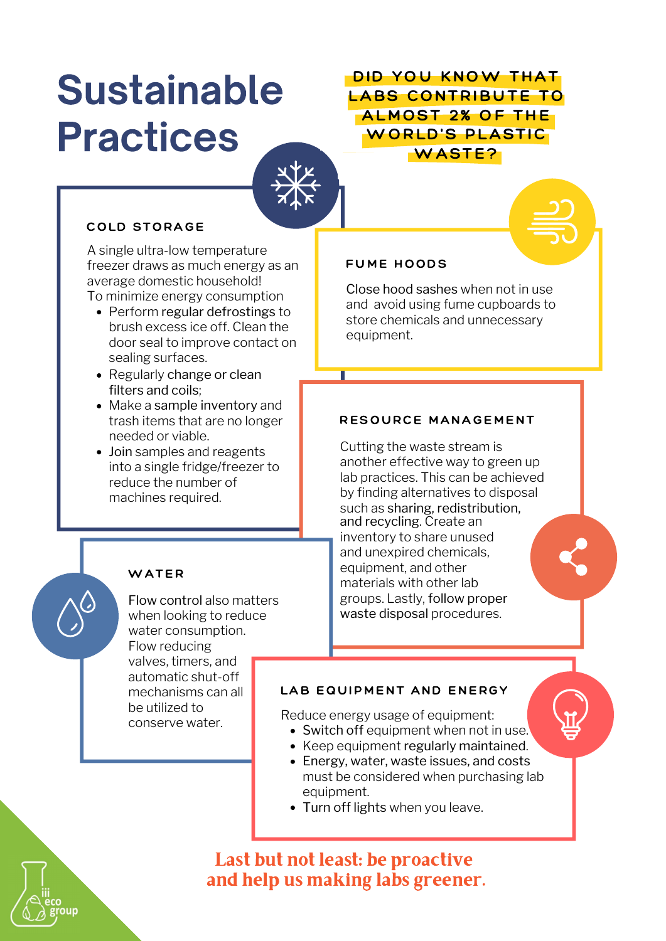# Sustainable Practices

DID YOU KNOW THAT LABS CONTRIBUTE TO ALMOST 2% OF THE WORLD'S PLASTIC WASTE?

#### COLD STORAGE

A single ultra-low temperature freezer draws as much energy as an average domestic household!

- To minimize energy consumption
	- Perform regular defrostings to brush excess ice off. Clean the door seal to improve contact on sealing surfaces.
	- Regularly change or clean filters and coils;
	- Make a sample inventory and trash items that are no longer needed or viable.
	- Join samples and reagents into a single fridge/freezer to reduce the number of machines required.

#### WATER

Flow control also matters when looking to reduce water consumption. Flow reducing valves, timers, and automatic shut-off mechanisms can all be utilized to conserve water.

#### FUME HOODS

Close hood sashes when not in use and avoid using fume cupboards to store chemicals and unnecessary equipment.

#### RESOURCE MANAGEMENT

Cutting the waste stream is another effective way to green up lab practices. This can be achieved by finding alternatives to disposal such as sharing, redistribution, and recycling. Create an inventory to share unused and unexpired chemicals, equipment, and other materials with other lab groups. Lastly, follow proper waste disposal procedures.

#### LAB EQUIPMENT AND ENERGY

Reduce energy usage of equipment:

- Switch off equipment when not in use.
- Keep equipment regularly maintained.
- Energy, water, waste issues, and costs must be considered when purchasing lab equipment.
- Turn off lights when you leave.



## Last but not least: be proactive and help us making labs greener.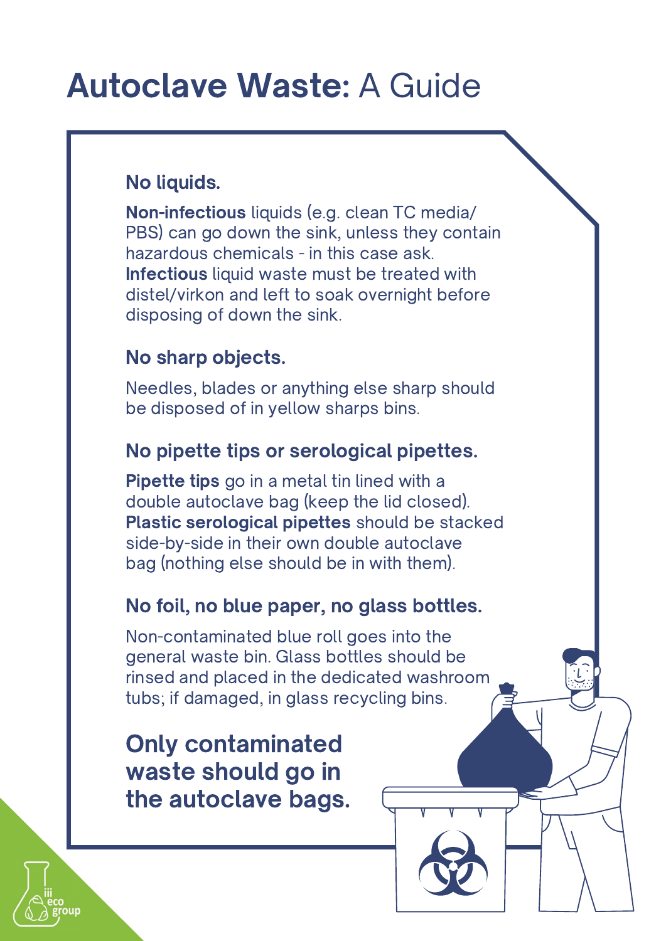## Autoclave Waste: A Guide

## No liquids.

Non-infectious liquids (e.g. clean TC media/ PBS) can go down the sink, unless they contain hazardous chemicals - in this case ask. Infectious liquid waste must be treated with distel/virkon and left to soak overnight before disposing of down the sink.

## No sharp objects.

Needles, blades or anything else sharp should be disposed of in yellow sharps bins.

## No pipette tips or serological pipettes.

**Pipette tips** go in a metal tin lined with a double autoclave bag (keep the lid closed). Plastic serological pipettes should be stacked side-by-side in their own double autoclave bag (nothing else should be in with them).

## No foil, no blue paper, no glass bottles.

Non-contaminated blue roll goes into the general waste bin. Glass bottles should be rinsed and placed in the dedicated washroom tubs; if damaged, in glass recycling bins.

Only contaminated waste should go in the autoclave bags.

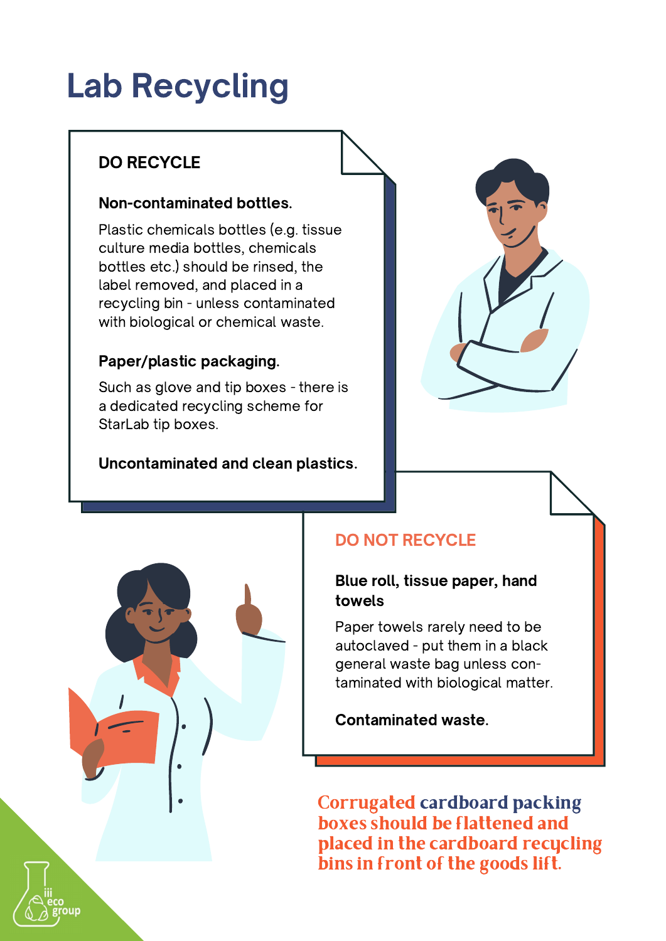## Lab Recycling

## DO RECYCLE

### Non-contaminated bottles.

culture media bottles, chemicals Plastic chemicals bottles (e.g. tissue bottles etc.) should be rinsed, the label removed, and placed in a recycling bin - unless contaminated with biological or chemical waste.

#### Paper/plastic packaging.

Such as glove and tip boxes - there is a dedicated recycling scheme for StarLab tip boxes.

### Uncontaminated and clean plastics.





## DO NOT RECYCLE

#### Blue roll, tissue paper, hand  $\|\cdot\|$ towels and the control of the control of the control of the control of the control of the control of the control of the control of the control of the control of the control of the control of the control of the control of t

autoclaved - put them in a black general waste bag unless con- $\overline{\mathbf{c}}$  taminated with biological matter. Paper towels rarely need to be

Contaminated waste.

Corrugated cardboard packing boxes should be flattened and placed in the cardboard recucling bins in front of the goods lift.